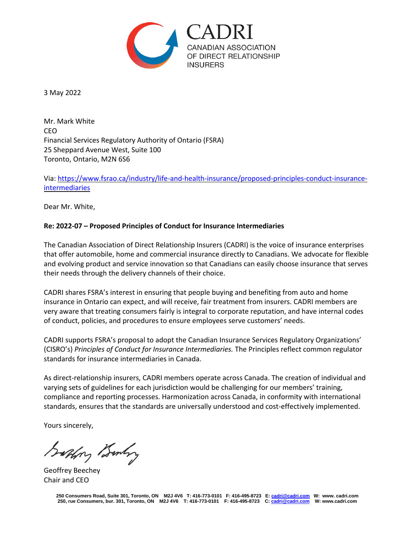

3 May 2022

Mr. Mark White CEO Financial Services Regulatory Authority of Ontario (FSRA) 25 Sheppard Avenue West, Suite 100 Toronto, Ontario, M2N 6S6

Via: [https://www.fsrao.ca/industry/life-and-health-insurance/proposed-principles-conduct-insurance](https://www.fsrao.ca/industry/life-and-health-insurance/proposed-principles-conduct-insurance-intermediaries)[intermediaries](https://www.fsrao.ca/industry/life-and-health-insurance/proposed-principles-conduct-insurance-intermediaries)

Dear Mr. White,

## **Re: 2022-07 – Proposed Principles of Conduct for Insurance Intermediaries**

The Canadian Association of Direct Relationship Insurers (CADRI) is the voice of insurance enterprises that offer automobile, home and commercial insurance directly to Canadians. We advocate for flexible and evolving product and service innovation so that Canadians can easily choose insurance that serves their needs through the delivery channels of their choice.

CADRI shares FSRA's interest in ensuring that people buying and benefiting from auto and home insurance in Ontario can expect, and will receive, fair treatment from insurers. CADRI members are very aware that treating consumers fairly is integral to corporate reputation, and have internal codes of conduct, policies, and procedures to ensure employees serve customers' needs.

CADRI supports FSRA's proposal to adopt the Canadian Insurance Services Regulatory Organizations' (CISRO's) *Principles of Conduct for Insurance Intermediaries.* The Principles reflect common regulator standards for insurance intermediaries in Canada.

As direct-relationship insurers, CADRI members operate across Canada. The creation of individual and varying sets of guidelines for each jurisdiction would be challenging for our members' training, compliance and reporting processes. Harmonization across Canada, in conformity with international standards, ensures that the standards are universally understood and cost-effectively implemented.

Yours sincerely,

Saphry Bunkry

Geoffrey Beechey Chair and CEO